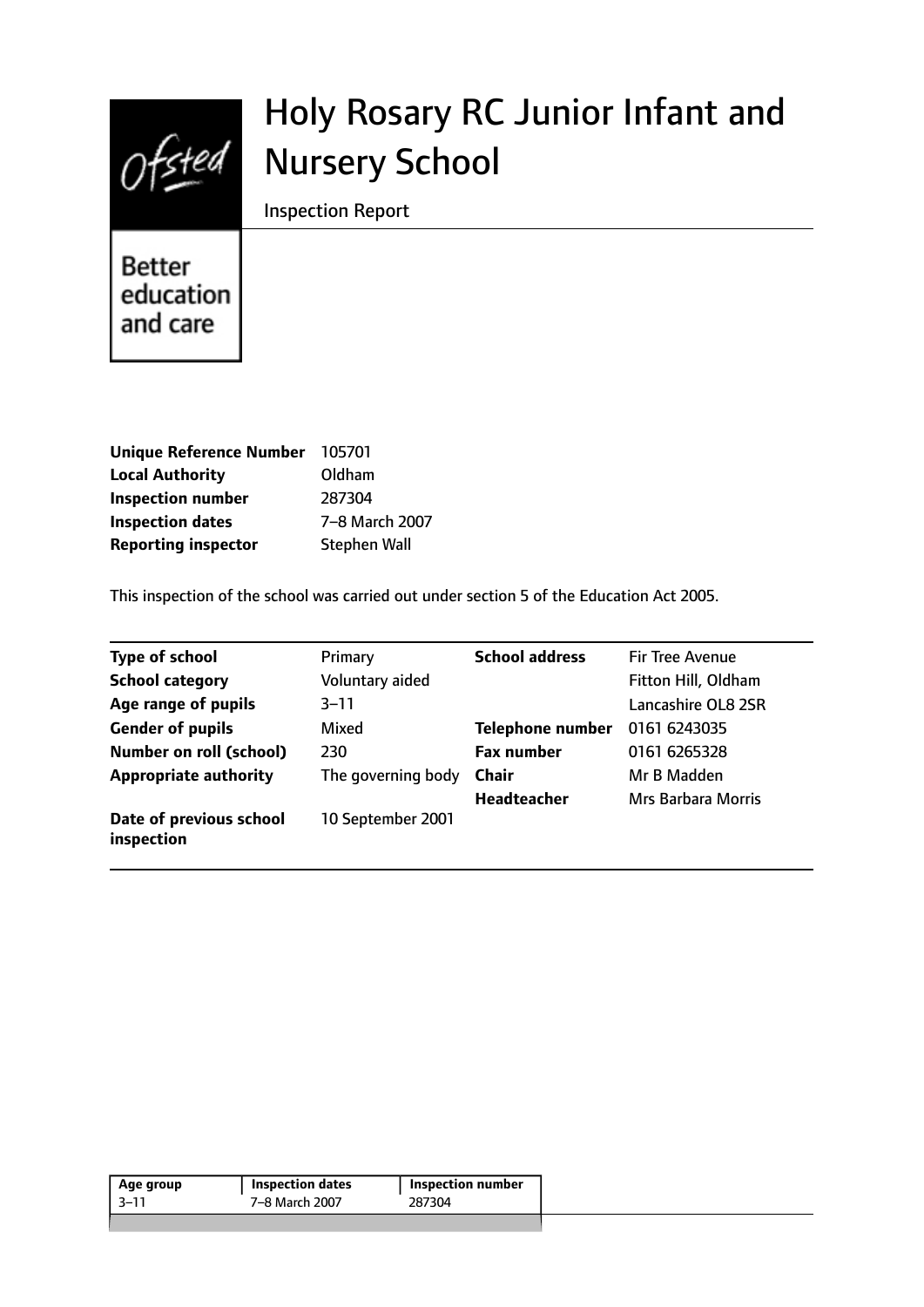

# Holy Rosary RC Junior Infant and Nursery School

Inspection Report

**Better** education and care

| <b>Unique Reference Number</b> | 105701              |
|--------------------------------|---------------------|
| <b>Local Authority</b>         | Oldham              |
| <b>Inspection number</b>       | 287304              |
| <b>Inspection dates</b>        | 7-8 March 2007      |
| <b>Reporting inspector</b>     | <b>Stephen Wall</b> |

This inspection of the school was carried out under section 5 of the Education Act 2005.

| <b>Type of school</b>                 | Primary            | <b>School address</b>   | <b>Fir Tree Avenue</b> |
|---------------------------------------|--------------------|-------------------------|------------------------|
| <b>School category</b>                | Voluntary aided    |                         | Fitton Hill, Oldham    |
| Age range of pupils                   | $3 - 11$           |                         | Lancashire OL8 2SR     |
| <b>Gender of pupils</b>               | Mixed              | <b>Telephone number</b> | 0161 6243035           |
| <b>Number on roll (school)</b>        | 230                | <b>Fax number</b>       | 0161 6265328           |
| <b>Appropriate authority</b>          | The governing body | <b>Chair</b>            | Mr B Madden            |
|                                       |                    | <b>Headteacher</b>      | Mrs Barbara Morris     |
| Date of previous school<br>inspection | 10 September 2001  |                         |                        |

| Age group | <b>Inspection dates</b> | <b>Inspection number</b> |
|-----------|-------------------------|--------------------------|
| -3–11     | 7–8 March 2007          | 287304                   |
|           |                         |                          |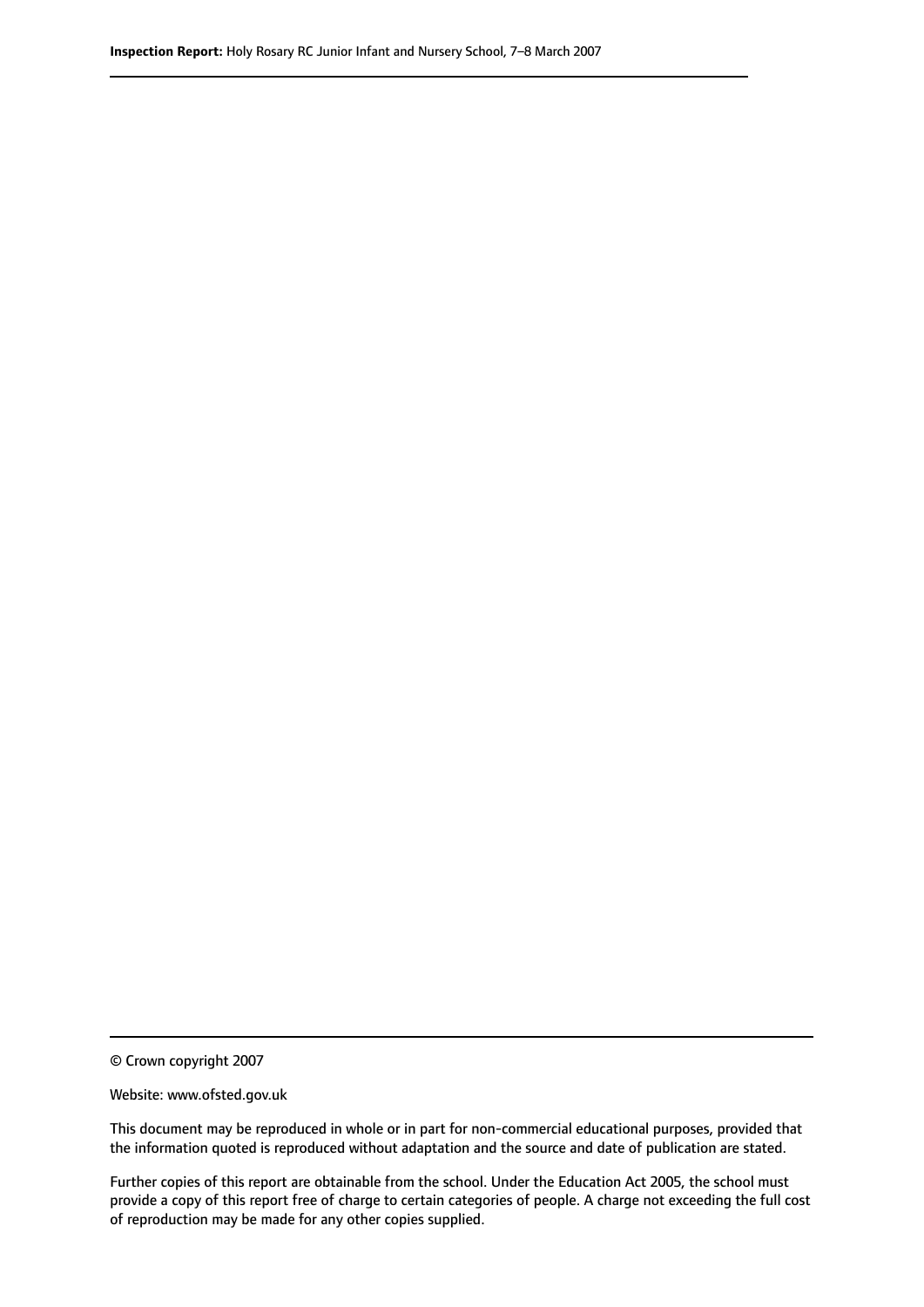© Crown copyright 2007

Website: www.ofsted.gov.uk

This document may be reproduced in whole or in part for non-commercial educational purposes, provided that the information quoted is reproduced without adaptation and the source and date of publication are stated.

Further copies of this report are obtainable from the school. Under the Education Act 2005, the school must provide a copy of this report free of charge to certain categories of people. A charge not exceeding the full cost of reproduction may be made for any other copies supplied.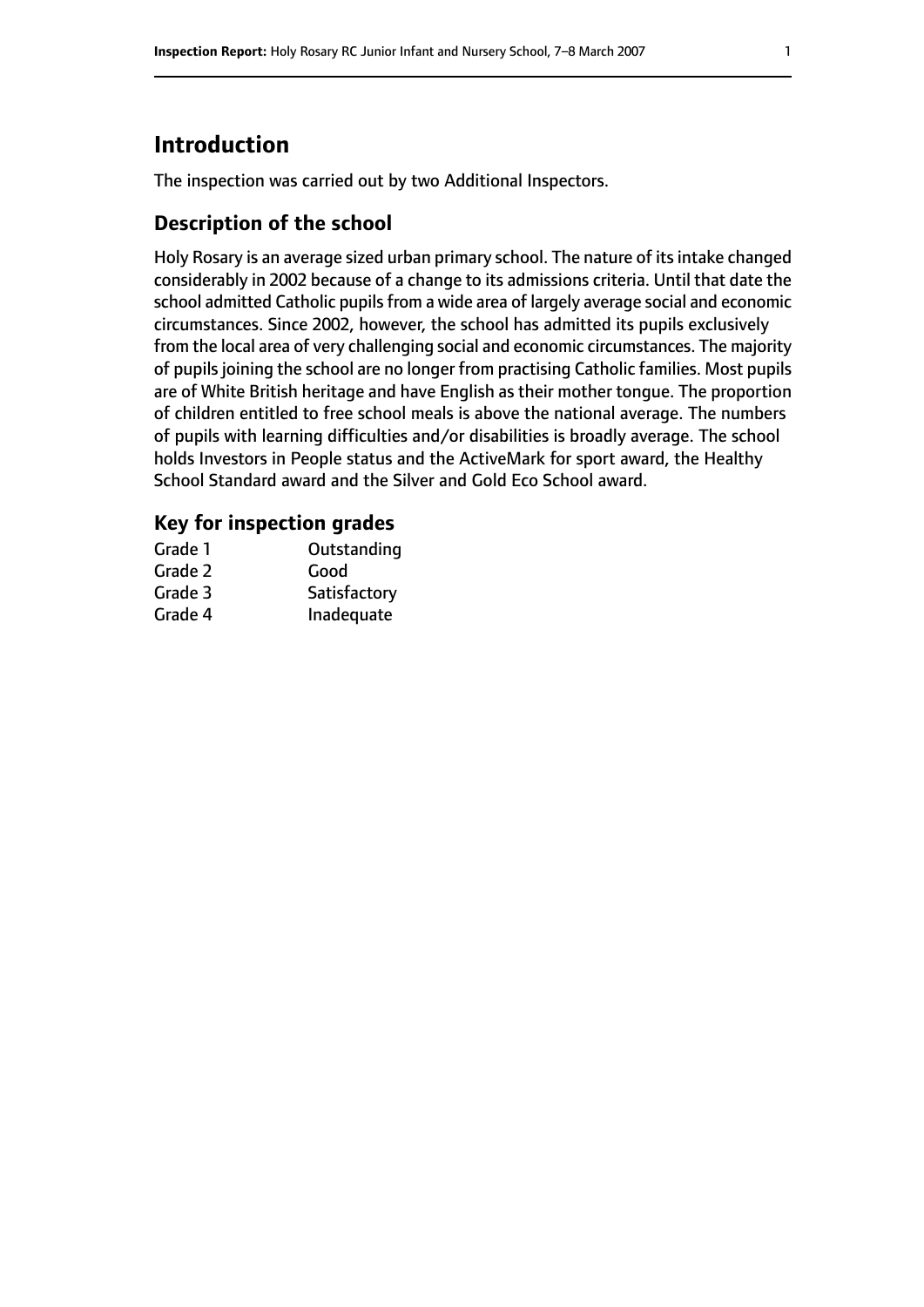# **Introduction**

The inspection was carried out by two Additional Inspectors.

## **Description of the school**

Holy Rosary is an average sized urban primary school. The nature of its intake changed considerably in 2002 because of a change to its admissions criteria. Until that date the school admitted Catholic pupils from a wide area of largely average social and economic circumstances. Since 2002, however, the school has admitted its pupils exclusively from the local area of very challenging social and economic circumstances. The majority of pupils joining the school are no longer from practising Catholic families. Most pupils are of White British heritage and have English as their mother tongue. The proportion of children entitled to free school meals is above the national average. The numbers of pupils with learning difficulties and/or disabilities is broadly average. The school holds Investors in People status and the ActiveMark for sport award, the Healthy School Standard award and the Silver and Gold Eco School award.

#### **Key for inspection grades**

| Grade 1 | Outstanding  |
|---------|--------------|
| Grade 2 | Good         |
| Grade 3 | Satisfactory |
| Grade 4 | Inadequate   |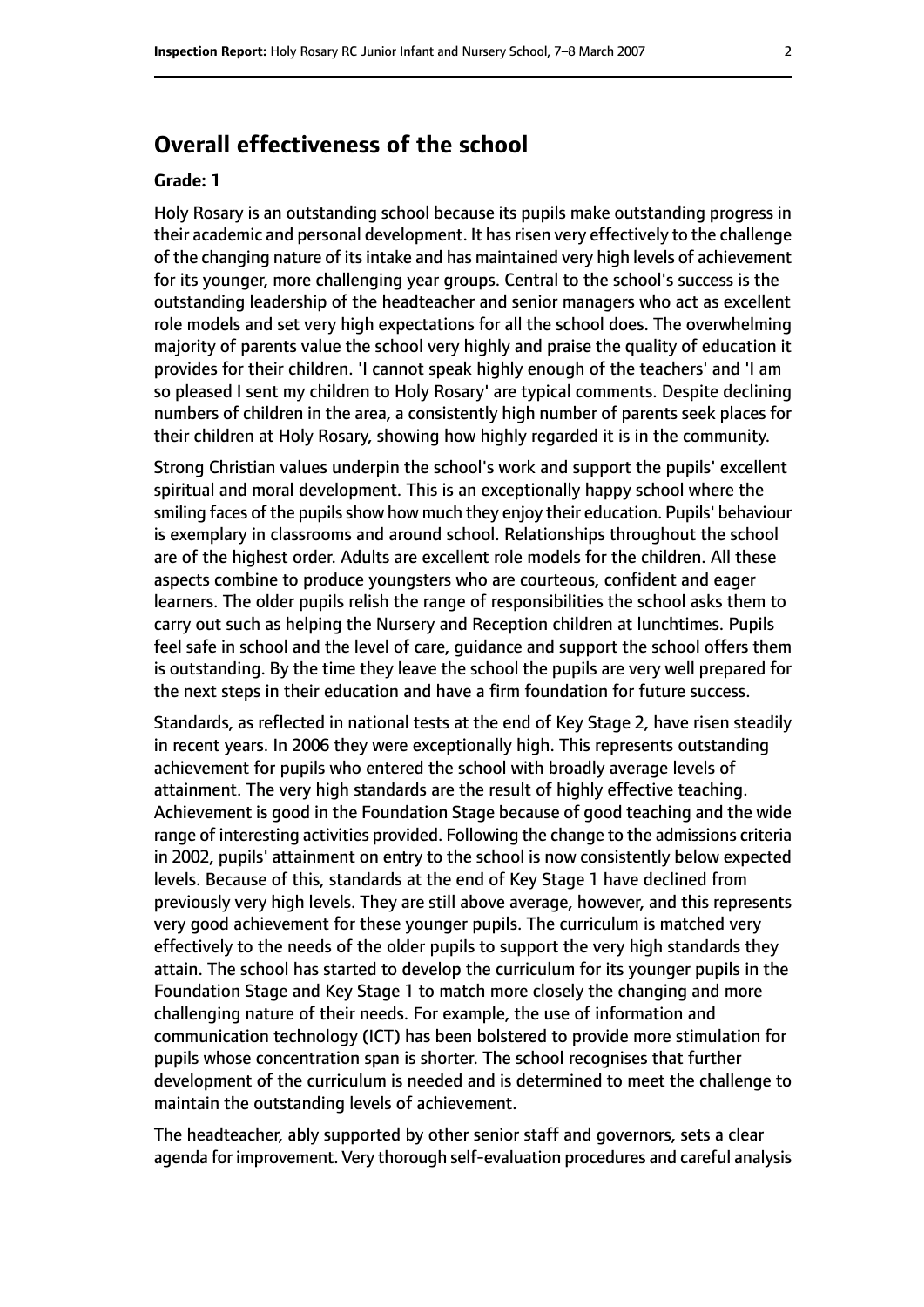## **Overall effectiveness of the school**

#### **Grade: 1**

Holy Rosary is an outstanding school because its pupils make outstanding progress in their academic and personal development. It has risen very effectively to the challenge of the changing nature of its intake and has maintained very high levels of achievement for its younger, more challenging year groups. Central to the school's success is the outstanding leadership of the headteacher and senior managers who act as excellent role models and set very high expectations for all the school does. The overwhelming majority of parents value the school very highly and praise the quality of education it provides for their children. 'I cannot speak highly enough of the teachers' and 'I am so pleased I sent my children to Holy Rosary' are typical comments. Despite declining numbers of children in the area, a consistently high number of parents seek places for their children at Holy Rosary, showing how highly regarded it is in the community.

Strong Christian values underpin the school's work and support the pupils' excellent spiritual and moral development. This is an exceptionally happy school where the smiling faces of the pupils show how much they enjoy their education. Pupils' behaviour is exemplary in classrooms and around school. Relationships throughout the school are of the highest order. Adults are excellent role models for the children. All these aspects combine to produce youngsters who are courteous, confident and eager learners. The older pupils relish the range of responsibilities the school asks them to carry out such as helping the Nursery and Reception children at lunchtimes. Pupils feel safe in school and the level of care, guidance and support the school offers them is outstanding. By the time they leave the school the pupils are very well prepared for the next steps in their education and have a firm foundation for future success.

Standards, as reflected in national tests at the end of Key Stage 2, have risen steadily in recent years. In 2006 they were exceptionally high. This represents outstanding achievement for pupils who entered the school with broadly average levels of attainment. The very high standards are the result of highly effective teaching. Achievement is good in the Foundation Stage because of good teaching and the wide range of interesting activities provided. Following the change to the admissions criteria in 2002, pupils' attainment on entry to the school is now consistently below expected levels. Because of this, standards at the end of Key Stage 1 have declined from previously very high levels. They are still above average, however, and this represents very good achievement for these younger pupils. The curriculum is matched very effectively to the needs of the older pupils to support the very high standards they attain. The school has started to develop the curriculum for its younger pupils in the Foundation Stage and Key Stage 1 to match more closely the changing and more challenging nature of their needs. For example, the use of information and communication technology (ICT) has been bolstered to provide more stimulation for pupils whose concentration span is shorter. The school recognises that further development of the curriculum is needed and is determined to meet the challenge to maintain the outstanding levels of achievement.

The headteacher, ably supported by other senior staff and governors, sets a clear agenda for improvement. Very thorough self-evaluation procedures and careful analysis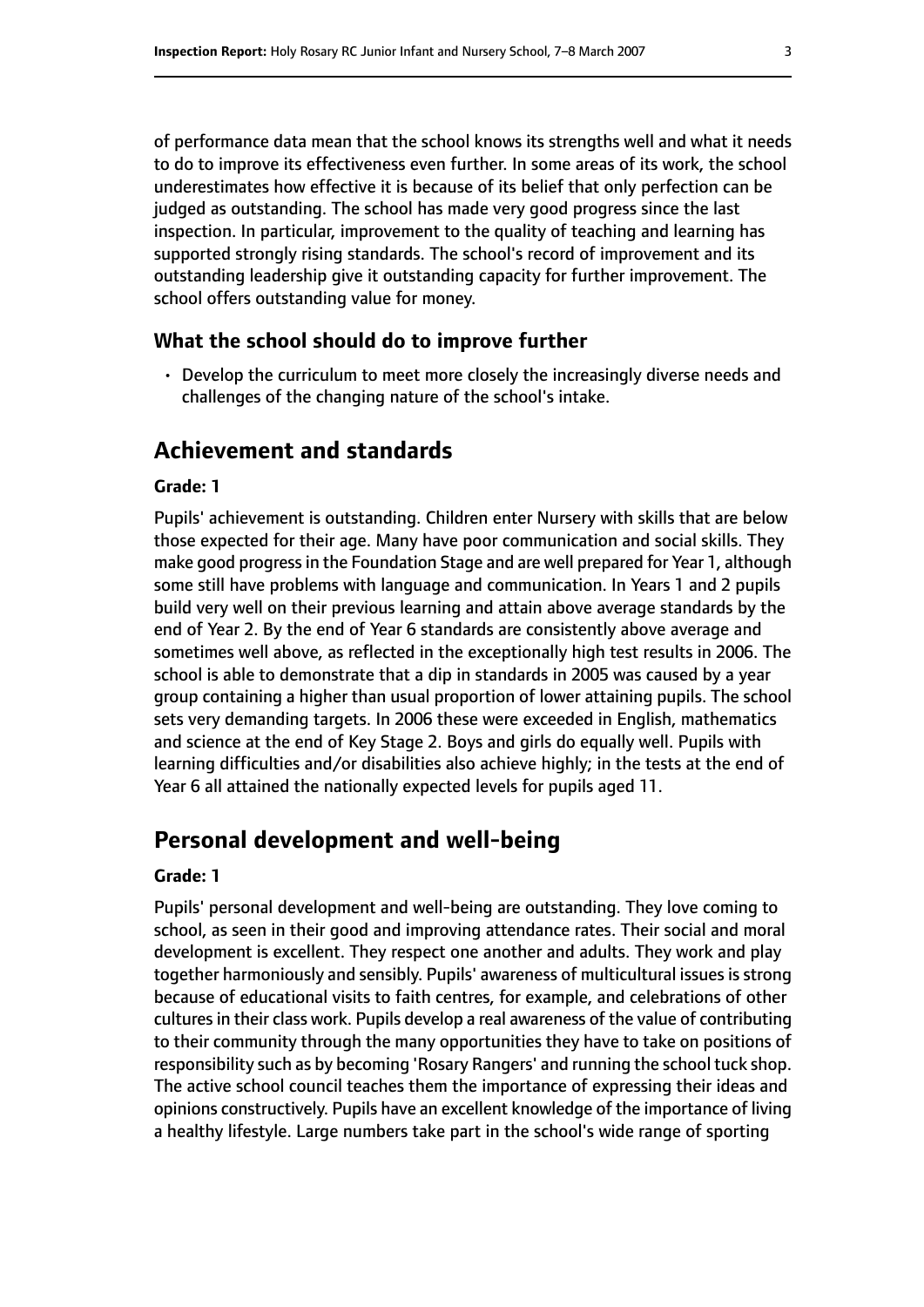of performance data mean that the school knows its strengths well and what it needs to do to improve its effectiveness even further. In some areas of its work, the school underestimates how effective it is because of its belief that only perfection can be judged as outstanding. The school has made very good progress since the last inspection. In particular, improvement to the quality of teaching and learning has supported strongly rising standards. The school's record of improvement and its outstanding leadership give it outstanding capacity for further improvement. The school offers outstanding value for money.

#### **What the school should do to improve further**

• Develop the curriculum to meet more closely the increasingly diverse needs and challenges of the changing nature of the school's intake.

## **Achievement and standards**

#### **Grade: 1**

Pupils' achievement is outstanding. Children enter Nursery with skills that are below those expected for their age. Many have poor communication and social skills. They make good progressin the Foundation Stage and are well prepared for Year 1, although some still have problems with language and communication. In Years 1 and 2 pupils build very well on their previous learning and attain above average standards by the end of Year 2. By the end of Year 6 standards are consistently above average and sometimes well above, as reflected in the exceptionally high test results in 2006. The school is able to demonstrate that a dip in standards in 2005 was caused by a year group containing a higher than usual proportion of lower attaining pupils. The school sets very demanding targets. In 2006 these were exceeded in English, mathematics and science at the end of Key Stage 2. Boys and girls do equally well. Pupils with learning difficulties and/or disabilities also achieve highly; in the tests at the end of Year 6 all attained the nationally expected levels for pupils aged 11.

### **Personal development and well-being**

#### **Grade: 1**

Pupils' personal development and well-being are outstanding. They love coming to school, as seen in their good and improving attendance rates. Their social and moral development is excellent. They respect one another and adults. They work and play together harmoniously and sensibly. Pupils' awareness of multicultural issues is strong because of educational visits to faith centres, for example, and celebrations of other cultures in their class work. Pupils develop a real awareness of the value of contributing to their community through the many opportunities they have to take on positions of responsibility such as by becoming 'Rosary Rangers' and running the school tuck shop. The active school council teaches them the importance of expressing their ideas and opinions constructively. Pupils have an excellent knowledge of the importance of living a healthy lifestyle. Large numbers take part in the school's wide range of sporting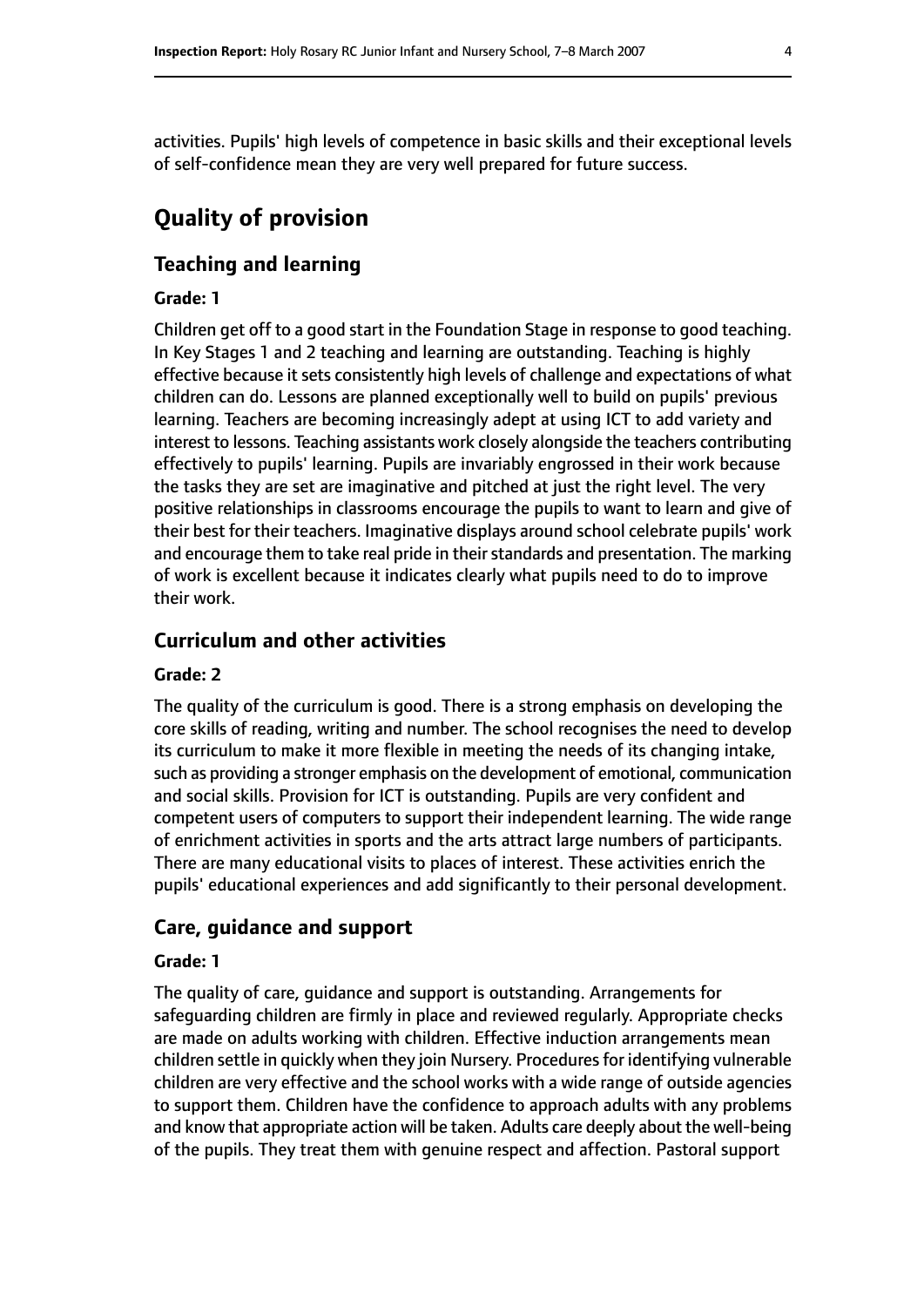activities. Pupils' high levels of competence in basic skills and their exceptional levels of self-confidence mean they are very well prepared for future success.

# **Quality of provision**

#### **Teaching and learning**

#### **Grade: 1**

Children get off to a good start in the Foundation Stage in response to good teaching. In Key Stages 1 and 2 teaching and learning are outstanding. Teaching is highly effective because it sets consistently high levels of challenge and expectations of what children can do. Lessons are planned exceptionally well to build on pupils' previous learning. Teachers are becoming increasingly adept at using ICT to add variety and interest to lessons. Teaching assistants work closely alongside the teachers contributing effectively to pupils' learning. Pupils are invariably engrossed in their work because the tasks they are set are imaginative and pitched at just the right level. The very positive relationships in classrooms encourage the pupils to want to learn and give of their best for their teachers. Imaginative displays around school celebrate pupils' work and encourage them to take real pride in their standards and presentation. The marking of work is excellent because it indicates clearly what pupils need to do to improve their work.

## **Curriculum and other activities**

#### **Grade: 2**

The quality of the curriculum is good. There is a strong emphasis on developing the core skills of reading, writing and number. The school recognises the need to develop its curriculum to make it more flexible in meeting the needs of its changing intake, such as providing a stronger emphasis on the development of emotional, communication and social skills. Provision for ICT is outstanding. Pupils are very confident and competent users of computers to support their independent learning. The wide range of enrichment activities in sports and the arts attract large numbers of participants. There are many educational visits to places of interest. These activities enrich the pupils' educational experiences and add significantly to their personal development.

#### **Care, guidance and support**

#### **Grade: 1**

The quality of care, guidance and support is outstanding. Arrangements for safeguarding children are firmly in place and reviewed regularly. Appropriate checks are made on adults working with children. Effective induction arrangements mean children settle in quickly when they join Nursery. Procedures for identifying vulnerable children are very effective and the school works with a wide range of outside agencies to support them. Children have the confidence to approach adults with any problems and know that appropriate action will be taken. Adults care deeply about the well-being of the pupils. They treat them with genuine respect and affection. Pastoral support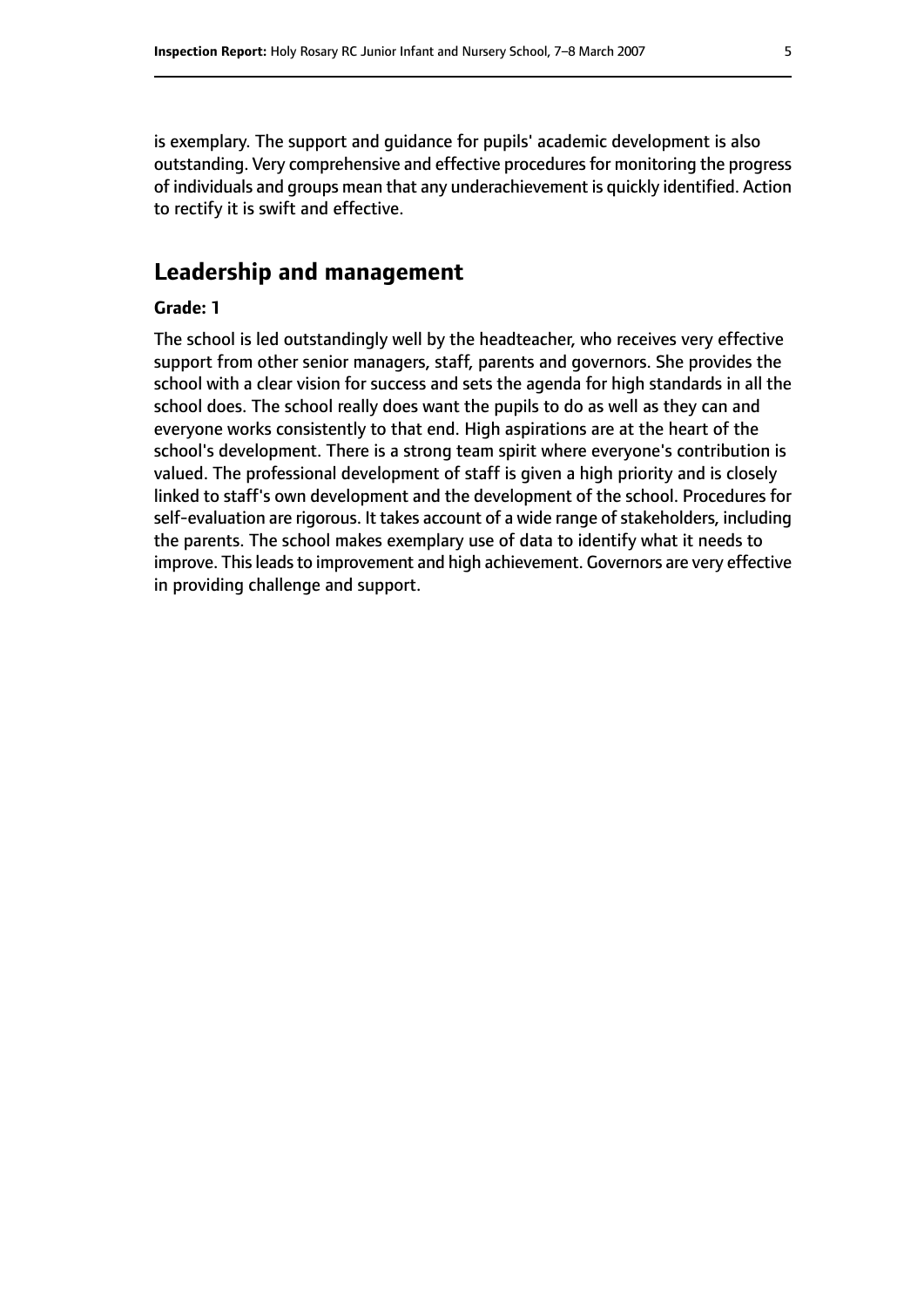is exemplary. The support and guidance for pupils' academic development is also outstanding. Very comprehensive and effective proceduresfor monitoring the progress of individuals and groups mean that any underachievement is quickly identified. Action to rectify it is swift and effective.

## **Leadership and management**

#### **Grade: 1**

The school is led outstandingly well by the headteacher, who receives very effective support from other senior managers, staff, parents and governors. She provides the school with a clear vision for success and sets the agenda for high standards in all the school does. The school really does want the pupils to do as well as they can and everyone works consistently to that end. High aspirations are at the heart of the school's development. There is a strong team spirit where everyone's contribution is valued. The professional development of staff is given a high priority and is closely linked to staff's own development and the development of the school. Procedures for self-evaluation are rigorous. It takes account of a wide range of stakeholders, including the parents. The school makes exemplary use of data to identify what it needs to improve. This leads to improvement and high achievement. Governors are very effective in providing challenge and support.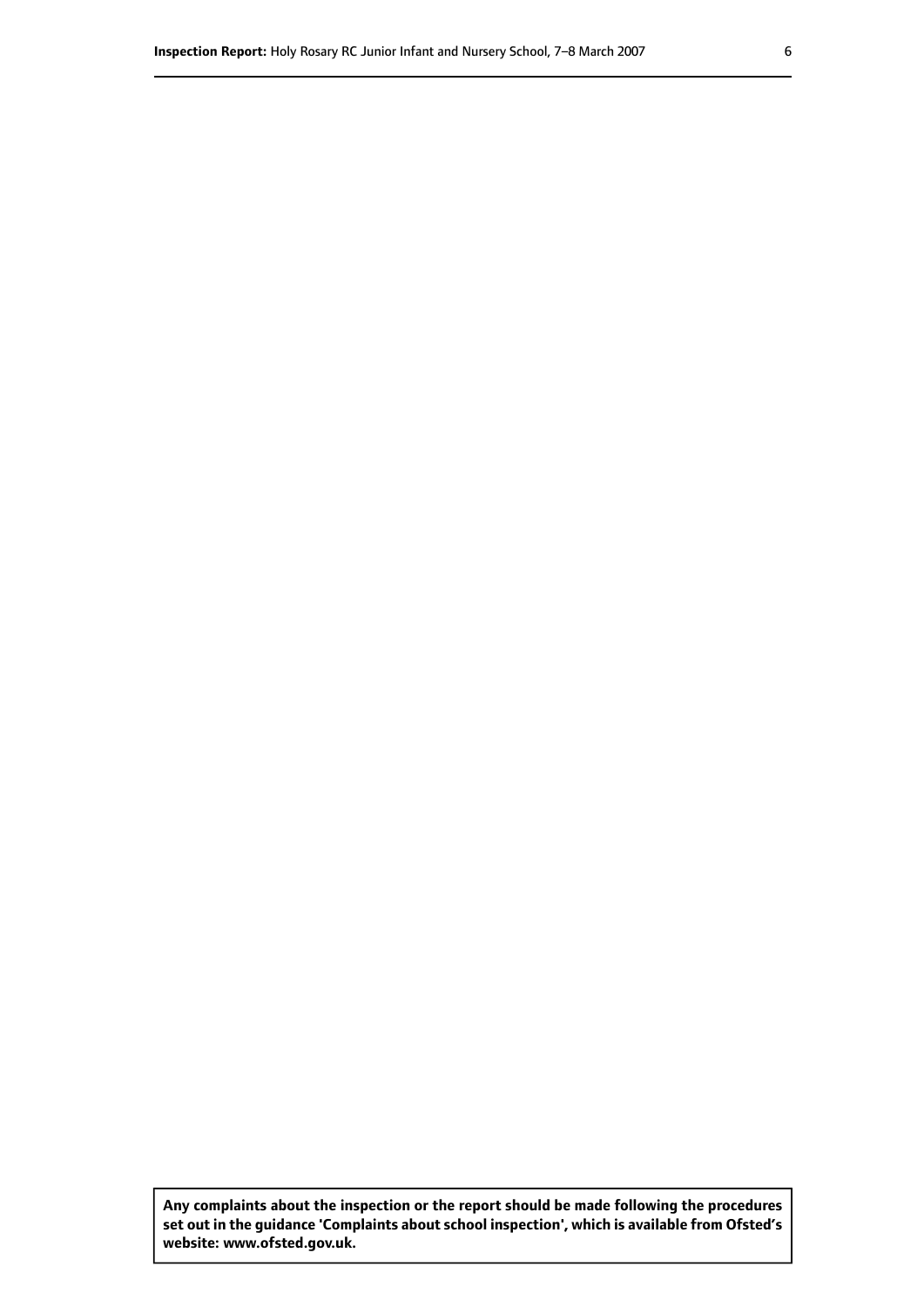**Any complaints about the inspection or the report should be made following the procedures set out inthe guidance 'Complaints about school inspection', whichis available from Ofsted's website: www.ofsted.gov.uk.**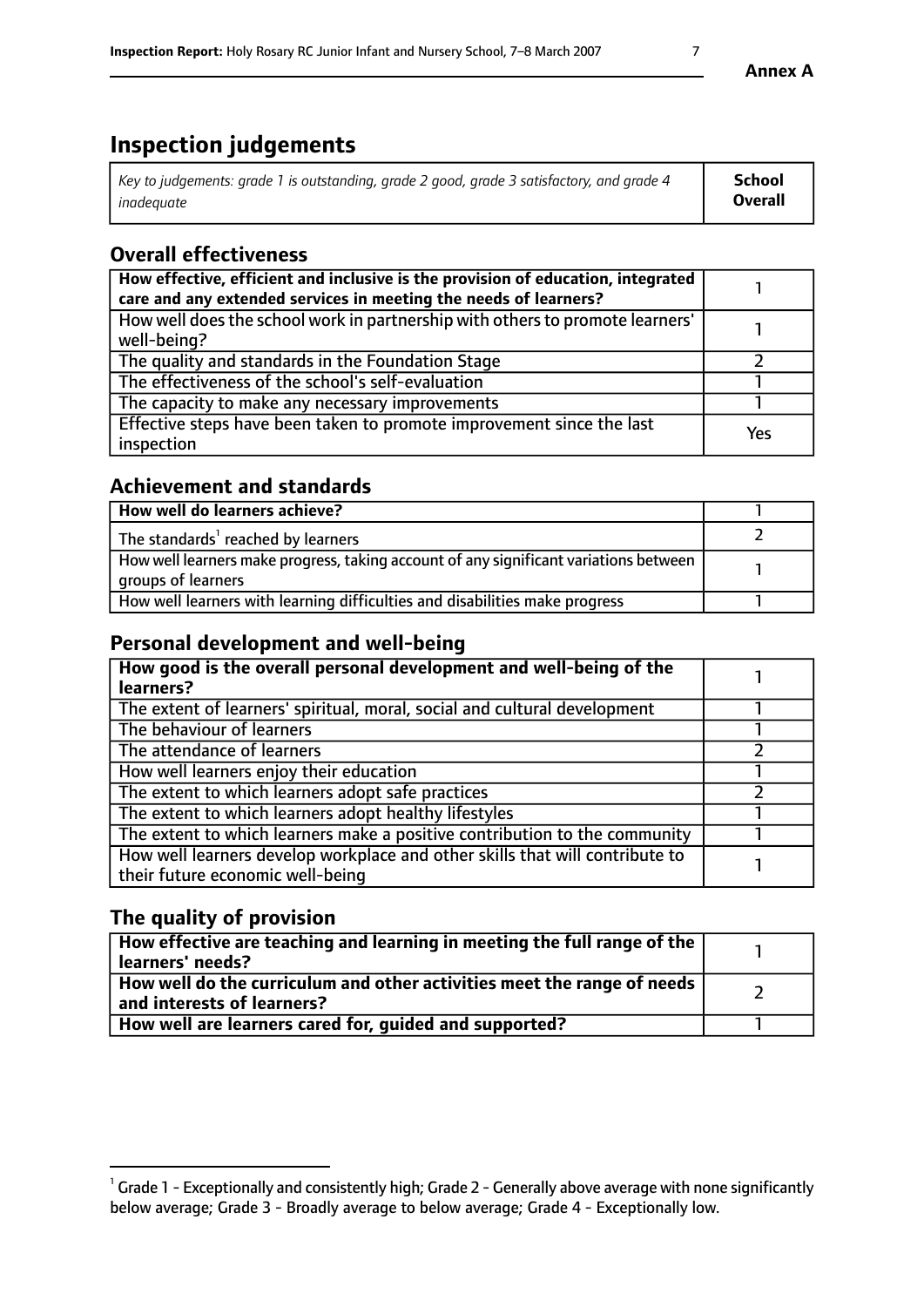# **Inspection judgements**

| Key to judgements: grade 1 is outstanding, grade 2 good, grade 3 satisfactory, and grade 4 | School         |
|--------------------------------------------------------------------------------------------|----------------|
| inadeauate                                                                                 | <b>Overall</b> |

# **Overall effectiveness**

| How effective, efficient and inclusive is the provision of education, integrated<br>care and any extended services in meeting the needs of learners? |     |
|------------------------------------------------------------------------------------------------------------------------------------------------------|-----|
| How well does the school work in partnership with others to promote learners'<br>well-being?                                                         |     |
| The quality and standards in the Foundation Stage                                                                                                    |     |
| The effectiveness of the school's self-evaluation                                                                                                    |     |
| The capacity to make any necessary improvements                                                                                                      |     |
| Effective steps have been taken to promote improvement since the last<br>inspection                                                                  | Yes |

## **Achievement and standards**

| How well do learners achieve?                                                                               |  |
|-------------------------------------------------------------------------------------------------------------|--|
| The standards <sup>1</sup> reached by learners                                                              |  |
| How well learners make progress, taking account of any significant variations between<br>groups of learners |  |
| How well learners with learning difficulties and disabilities make progress                                 |  |

## **Personal development and well-being**

| How good is the overall personal development and well-being of the<br>learners?                                  |  |
|------------------------------------------------------------------------------------------------------------------|--|
| The extent of learners' spiritual, moral, social and cultural development                                        |  |
| The behaviour of learners                                                                                        |  |
| The attendance of learners                                                                                       |  |
| How well learners enjoy their education                                                                          |  |
| The extent to which learners adopt safe practices                                                                |  |
| The extent to which learners adopt healthy lifestyles                                                            |  |
| The extent to which learners make a positive contribution to the community                                       |  |
| How well learners develop workplace and other skills that will contribute to<br>their future economic well-being |  |

## **The quality of provision**

| $\Box$ How effective are teaching and learning in meeting the full range of the $\Box$<br>  learners' needs?                |  |
|-----------------------------------------------------------------------------------------------------------------------------|--|
| $\overline{ }$ How well do the curriculum and other activities meet the range of needs<br>$\mid$ and interests of learners? |  |
| How well are learners cared for, guided and supported?                                                                      |  |

 $^1$  Grade 1 - Exceptionally and consistently high; Grade 2 - Generally above average with none significantly below average; Grade 3 - Broadly average to below average; Grade 4 - Exceptionally low.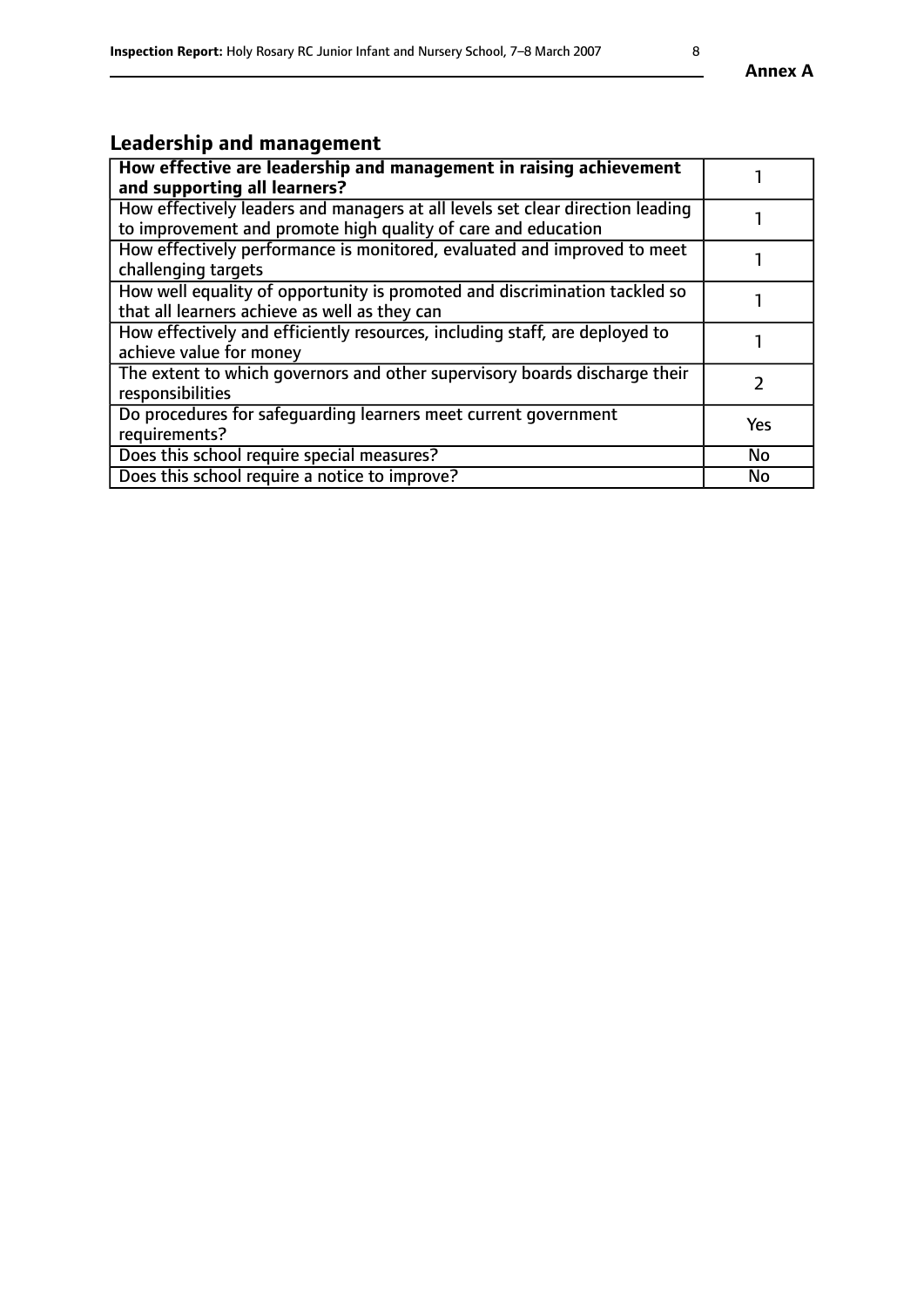# **Leadership and management**

| How effective are leadership and management in raising achievement<br>and supporting all learners?                                              |           |
|-------------------------------------------------------------------------------------------------------------------------------------------------|-----------|
| How effectively leaders and managers at all levels set clear direction leading<br>to improvement and promote high quality of care and education |           |
| How effectively performance is monitored, evaluated and improved to meet<br>challenging targets                                                 |           |
| How well equality of opportunity is promoted and discrimination tackled so<br>that all learners achieve as well as they can                     |           |
| How effectively and efficiently resources, including staff, are deployed to<br>achieve value for money                                          |           |
| The extent to which governors and other supervisory boards discharge their<br>responsibilities                                                  |           |
| Do procedures for safeguarding learners meet current government<br>requirements?                                                                | Yes       |
| Does this school require special measures?                                                                                                      | <b>No</b> |
| Does this school require a notice to improve?                                                                                                   | <b>No</b> |